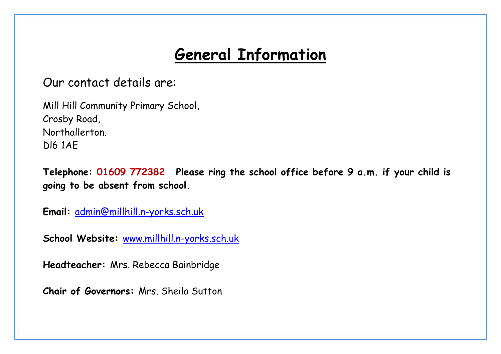## **General Information**

Our contact details are:

Mill Hill Community Primary School, Crosby Road, Northallerton. Dl6 1AE

**Telephone: 01609 772382 Please ring the school office before 9 a.m. if your child is going to be absent from school.**

**Email:** [admin@millhill.n-yorks.sch.uk](mailto:admin@millhill.n-yorks.sch.uk)

**School Website:** [www.millhill.n-yorks.sch.uk](http://www.millhill.n-yorks.sch.uk/)

**Headteacher:** Mrs. Rebecca Bainbridge

**Chair of Governors:** Mrs. Sheila Sutton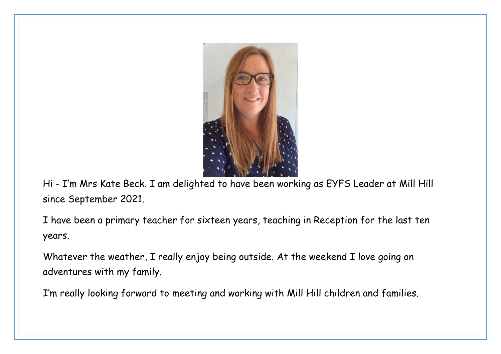

Hi - I'm Mrs Kate Beck. I am delighted to have been working as EYFS Leader at Mill Hill since September 2021.

I have been a primary teacher for sixteen years, teaching in Reception for the last ten years.

Whatever the weather, I really enjoy being outside. At the weekend I love going on adventures with my family.

I'm really looking forward to meeting and working with Mill Hill children and families.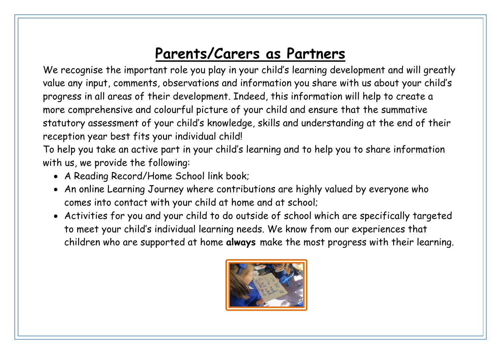# **Parents/Carers as Partners**

We recognise the important role you play in your child's learning development and will greatly value any input, comments, observations and information you share with us about your child's progress in all areas of their development. Indeed, this information will help to create a more comprehensive and colourful picture of your child and ensure that the summative statutory assessment of your child's knowledge, skills and understanding at the end of their reception year best fits your individual child!

To help you take an active part in your child's learning and to help you to share information with us, we provide the following:

- A Reading Record/Home School link book;
- An online Learning Journey where contributions are highly valued by everyone who comes into contact with your child at home and at school;
- Activities for you and your child to do outside of school which are specifically targeted to meet your child's individual learning needs. We know from our experiences that children who are supported at home **always** make the most progress with their learning.

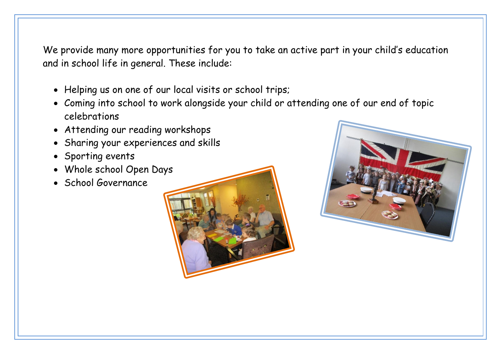We provide many more opportunities for you to take an active part in your child's education and in school life in general. These include:

- Helping us on one of our local visits or school trips;
- Coming into school to work alongside your child or attending one of our end of topic celebrations
- Attending our reading workshops
- Sharing your experiences and skills
- Sporting events
- Whole school Open Days
- School Governance



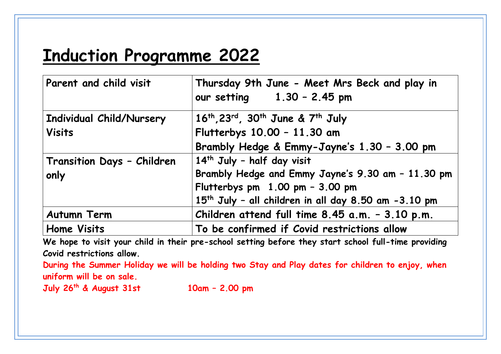# **Induction Programme 2022**

| Parent and child visit     | Thursday 9th June - Meet Mrs Beck and play in<br>our setting $1.30 - 2.45$ pm      |
|----------------------------|------------------------------------------------------------------------------------|
| Individual Child/Nursery   | 16 <sup>th</sup> , 23 <sup>rd</sup> , 30 <sup>th</sup> June & 7 <sup>th</sup> July |
| <b>Visits</b>              | Flutterbys 10.00 - 11.30 am                                                        |
|                            | Brambly Hedge & Emmy-Jayne's 1.30 - 3.00 pm                                        |
| Transition Days - Children | 14th July - half day visit                                                         |
| only                       | Brambly Hedge and Emmy Jayne's 9.30 am - 11.30 pm                                  |
|                            | Flutterbys pm $1.00$ pm - 3.00 pm                                                  |
|                            | 15 <sup>th</sup> July - all children in all day 8.50 am -3.10 pm                   |
| <b>Autumn Term</b>         | Children attend full time 8.45 a.m. - 3.10 p.m.                                    |
| <b>Home Visits</b>         | To be confirmed if Covid restrictions allow                                        |

**We hope to visit your child in their pre-school setting before they start school full-time providing Covid restrictions allow.**

**During the Summer Holiday we will be holding two Stay and Play dates for children to enjoy, when uniform will be on sale.**

**July 26 th & August 31st 10am – 2.00 pm**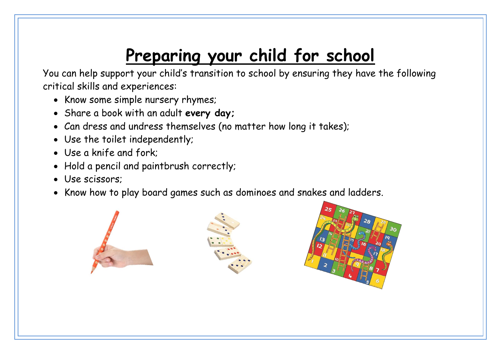# **Preparing your child for school**

You can help support your child's transition to school by ensuring they have the following critical skills and experiences:

- Know some simple nursery rhymes;
- Share a book with an adult **every day;**
- Can dress and undress themselves (no matter how long it takes);
- Use the toilet independently;
- Use a knife and fork;
- Hold a pencil and paintbrush correctly;
- Use scissors;
- Know how to play board games such as dominoes and snakes and ladders.

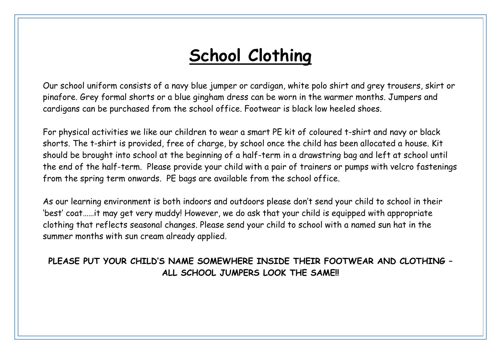# **School Clothing**

Our school uniform consists of a navy blue jumper or cardigan, white polo shirt and grey trousers, skirt or pinafore. Grey formal shorts or a blue gingham dress can be worn in the warmer months. Jumpers and cardigans can be purchased from the school office. Footwear is black low heeled shoes.

For physical activities we like our children to wear a smart PE kit of coloured t-shirt and navy or black shorts. The t-shirt is provided, free of charge, by school once the child has been allocated a house. Kit should be brought into school at the beginning of a half-term in a drawstring bag and left at school until the end of the half-term. Please provide your child with a pair of trainers or pumps with velcro fastenings from the spring term onwards. PE bags are available from the school office.

As our learning environment is both indoors and outdoors please don't send your child to school in their 'best' coat……it may get very muddy! However, we do ask that your child is equipped with appropriate clothing that reflects seasonal changes. Please send your child to school with a named sun hat in the summer months with sun cream already applied.

**PLEASE PUT YOUR CHILD'S NAME SOMEWHERE INSIDE THEIR FOOTWEAR AND CLOTHING – ALL SCHOOL JUMPERS LOOK THE SAME!!**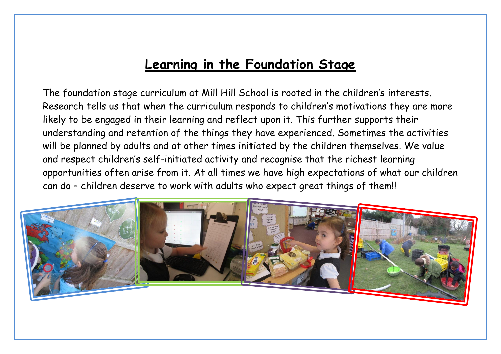#### **Learning in the Foundation Stage**

The foundation stage curriculum at Mill Hill School is rooted in the children's interests. Research tells us that when the curriculum responds to children's motivations they are more likely to be engaged in their learning and reflect upon it. This further supports their understanding and retention of the things they have experienced. Sometimes the activities will be planned by adults and at other times initiated by the children themselves. We value and respect children's self-initiated activity and recognise that the richest learning opportunities often arise from it. At all times we have high expectations of what our children can do – children deserve to work with adults who expect great things of them!!

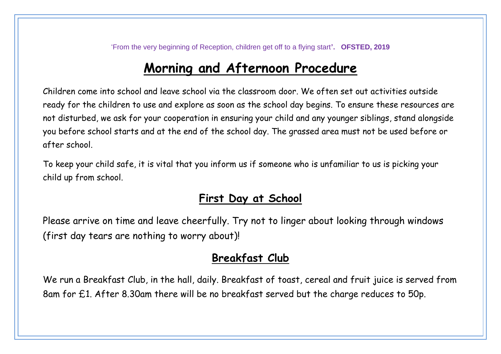'From the very beginning of Reception, children get off to a flying start**'. OFSTED, 2019**

#### **Morning and Afternoon Procedure**

Children come into school and leave school via the classroom door. We often set out activities outside ready for the children to use and explore as soon as the school day begins. To ensure these resources are not disturbed, we ask for your cooperation in ensuring your child and any younger siblings, stand alongside you before school starts and at the end of the school day. The grassed area must not be used before or after school.

To keep your child safe, it is vital that you inform us if someone who is unfamiliar to us is picking your child up from school.

#### **First Day at School**

Please arrive on time and leave cheerfully. Try not to linger about looking through windows (first day tears are nothing to worry about)!

#### **Breakfast Club**

We run a Breakfast Club, in the hall, daily. Breakfast of toast, cereal and fruit juice is served from 8am for £1. After 8.30am there will be no breakfast served but the charge reduces to 50p.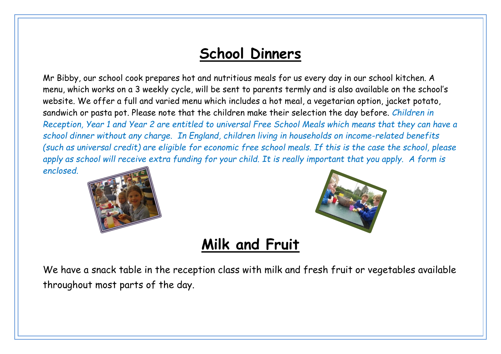## **School Dinners**

Mr Bibby, our school cook prepares hot and nutritious meals for us every day in our school kitchen. A menu, which works on a 3 weekly cycle, will be sent to parents termly and is also available on the school's website. We offer a full and varied menu which includes a hot meal, a vegetarian option, jacket potato, sandwich or pasta pot. Please note that the children make their selection the day before. *Children in Reception, Year 1 and Year 2 are entitled to universal Free School Meals which means that they can have a school dinner without any charge. In England, children living in households on income-related benefits (such as universal credit) are eligible for economic free school meals. If this is the case the school, please apply as school will receive extra funding for your child. It is really important that you apply. A form is enclosed.*





### **Milk and Fruit**

We have a snack table in the reception class with milk and fresh fruit or vegetables available throughout most parts of the day.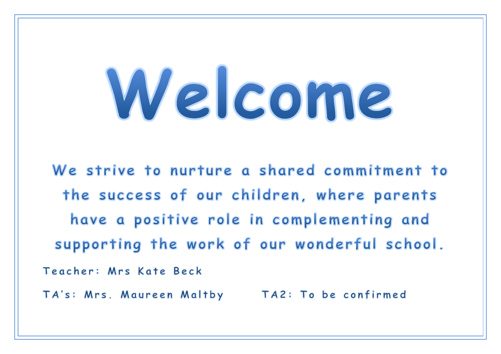# Welcome

We strive to nurture a shared commitment to the success of our children, where parents have a positive role in complementing and supporting the work of our wonderful school. Teacher: Mrs Kate Beck TA's: Mrs. Maureen Maltby TA2: To be confirmed